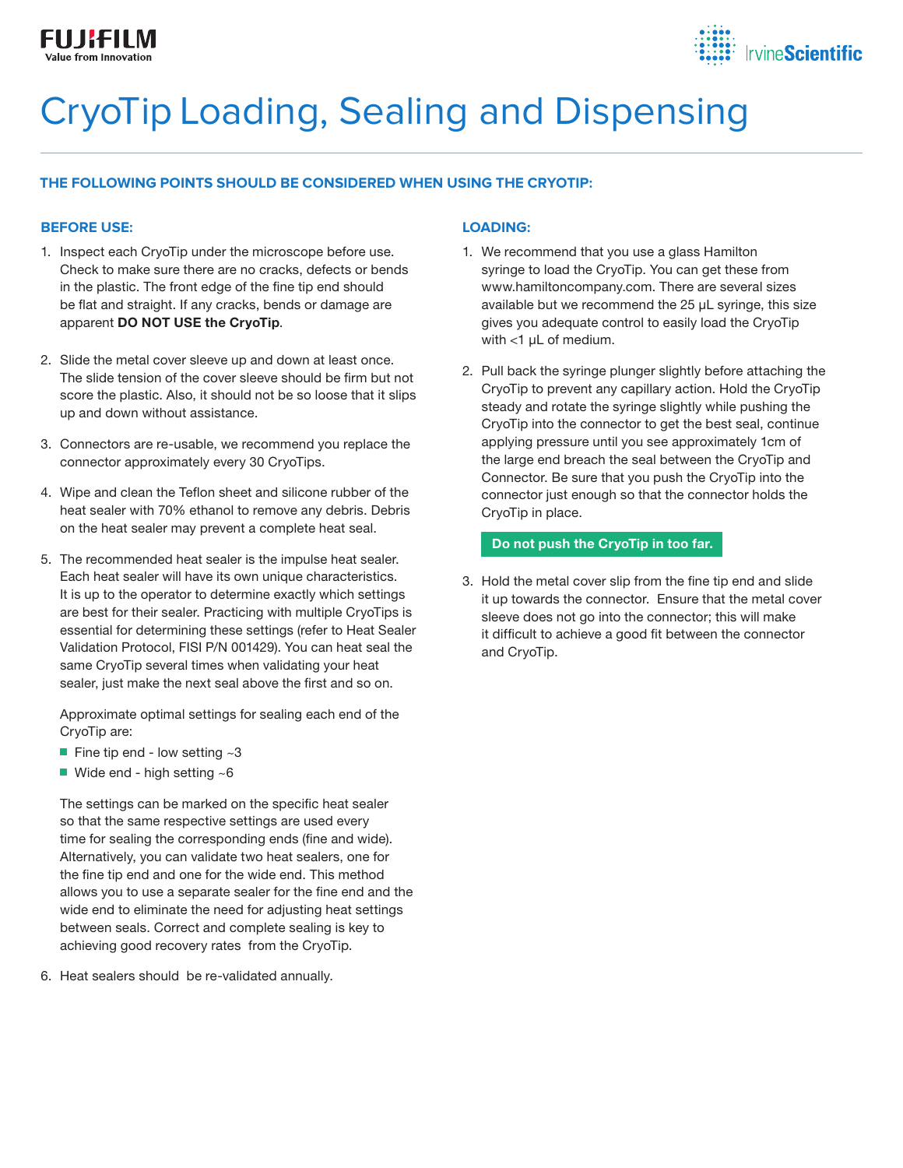

# CryoTip Loading, Sealing and Dispensing

# **THE FOLLOWING POINTS SHOULD BE CONSIDERED WHEN USING THE CRYOTIP:**

### **BEFORE USE:**

- 1. Inspect each CryoTip under the microscope before use. Check to make sure there are no cracks, defects or bends in the plastic. The front edge of the fine tip end should be flat and straight. If any cracks, bends or damage are apparent DO NOT USE the CryoTip.
- 2. Slide the metal cover sleeve up and down at least once. The slide tension of the cover sleeve should be firm but not score the plastic. Also, it should not be so loose that it slips up and down without assistance.
- 3. Connectors are re-usable, we recommend you replace the connector approximately every 30 CryoTips.
- 4. Wipe and clean the Teflon sheet and silicone rubber of the heat sealer with 70% ethanol to remove any debris. Debris on the heat sealer may prevent a complete heat seal.
- 5. The recommended heat sealer is the impulse heat sealer. Each heat sealer will have its own unique characteristics. It is up to the operator to determine exactly which settings are best for their sealer. Practicing with multiple CryoTips is essential for determining these settings (refer to Heat Sealer Validation Protocol, FISI P/N 001429). You can heat seal the same CryoTip several times when validating your heat sealer, just make the next seal above the first and so on.

 Approximate optimal settings for sealing each end of the CryoTip are:

- Fine tip end low setting  $~1$
- Wide end high setting  $~5$

 The settings can be marked on the specific heat sealer so that the same respective settings are used every time for sealing the corresponding ends (fine and wide). Alternatively, you can validate two heat sealers, one for the fine tip end and one for the wide end. This method allows you to use a separate sealer for the fine end and the wide end to eliminate the need for adjusting heat settings between seals. Correct and complete sealing is key to achieving good recovery rates from the CryoTip.

6. Heat sealers should be re-validated annually.

## **LOADING:**

- 1. We recommend that you use a glass Hamilton syringe to load the CryoTip. You can get these from www.hamiltoncompany.com. There are several sizes available but we recommend the 25 µL syringe, this size gives you adequate control to easily load the CryoTip with <1 µL of medium.
- 2. Pull back the syringe plunger slightly before attaching the CryoTip to prevent any capillary action. Hold the CryoTip steady and rotate the syringe slightly while pushing the CryoTip into the connector to get the best seal, continue applying pressure until you see approximately 1cm of the large end breach the seal between the CryoTip and Connector. Be sure that you push the CryoTip into the connector just enough so that the connector holds the CryoTip in place.

#### Do not push the CryoTip in too far.

3. Hold the metal cover slip from the fine tip end and slide it up towards the connector. Ensure that the metal cover sleeve does not go into the connector; this will make it difficult to achieve a good fit between the connector and CryoTip.